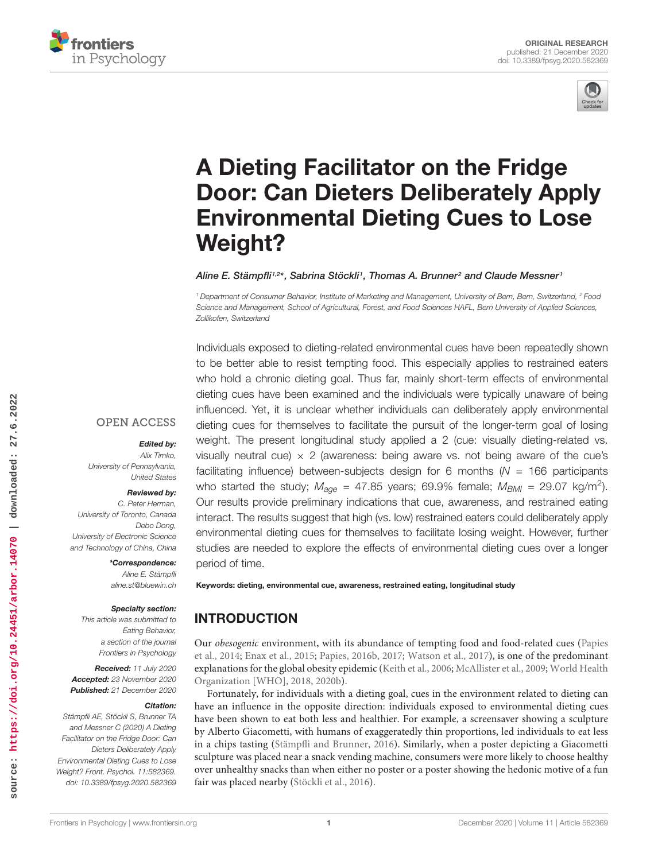



# A Dieting Facilitator on the Fridge [Door: Can Dieters Deliberately Apply](https://www.frontiersin.org/articles/10.3389/fpsyg.2020.582369/full) Environmental Dieting Cues to Lose Weight?

#### Aline E. Stämpfli1,2\*, Sabrina Stöckli1, Thomas A. Brunner<sup>2</sup> and Claude Messner1

<sup>1</sup> Department of Consumer Behavior, Institute of Marketing and Management, University of Bern, Bern, Switzerland, <sup>2</sup> Food Science and Management, School of Agricultural, Forest, and Food Sciences HAFL, Bern University of Applied Sciences, Zollikofen, Switzerland

Individuals exposed to dieting-related environmental cues have been repeatedly shown to be better able to resist tempting food. This especially applies to restrained eaters who hold a chronic dieting goal. Thus far, mainly short-term effects of environmental dieting cues have been examined and the individuals were typically unaware of being influenced. Yet, it is unclear whether individuals can deliberately apply environmental dieting cues for themselves to facilitate the pursuit of the longer-term goal of losing weight. The present longitudinal study applied a 2 (cue: visually dieting-related vs. visually neutral cue)  $\times$  2 (awareness: being aware vs. not being aware of the cue's facilitating influence) between-subjects design for 6 months ( $N = 166$  participants who started the study;  $M_{\text{age}} = 47.85$  years; 69.9% female;  $M_{\text{BMI}} = 29.07 \text{ kg/m}^2$ ). Our results provide preliminary indications that cue, awareness, and restrained eating interact. The results suggest that high (vs. low) restrained eaters could deliberately apply environmental dieting cues for themselves to facilitate losing weight. However, further studies are needed to explore the effects of environmental dieting cues over a longer period of time.

Keywords: dieting, environmental cue, awareness, restrained eating, longitudinal study

# INTRODUCTION

Our obesogenic environment, with its abundance of tempting food and food-related cues (Papies et al., 2014; Enax et al., 2015; Papies, 2016b, 2017; Watson et al., 2017), is one of the predominant explanations for the global obesity epidemic (Keith et al., 2006; McAllister et al., 2009; World Health Organization [WHO], 2018, 2020b).

Fortunately, for individuals with a dieting goal, cues in the environment related to dieting can have an influence in the opposite direction: individuals exposed to environmental dieting cues have been shown to eat both less and healthier. For example, a screensaver showing a sculpture by Alberto Giacometti, with humans of exaggeratedly thin proportions, led individuals to eat less in a chips tasting (Stämpfli and Brunner, 2016). Similarly, when a poster depicting a Giacometti sculpture was placed near a snack vending machine, consumers were more likely to choose healthy over unhealthy snacks than when either no poster or a poster showing the hedonic motive of a fun fair was placed nearby (Stöckli et al., 2016).

#### Reviewed by:

United States

Edited by: Alix Timko,

C. Peter Herman, University of Toronto, Canada Debo Dong, University of Electronic Science and Technology of China, China

University of Pennsylvania,

**OPEN ACCESS** 

\*Correspondence: Aline E. Stämpfli aline.st@bluewin.ch

#### Specialty section:

This article was submitted to Eating Behavior, a section of the journal Frontiers in Psychology

Received: 11 July 2020 Accepted: 23 November 2020 Published: 21 December 2020

#### Citation:

Stämpfli AE, Stöckli S, Brunner TA and Messner C (2020) A Dieting Facilitator on the Fridge Door: Can Dieters Deliberately Apply Environmental Dieting Cues to Lose Weight? Front. Psychol. 11:582369. doi: [10.3389/fpsyg.2020.582369](https://doi.org/10.3389/fpsyg.2020.582369)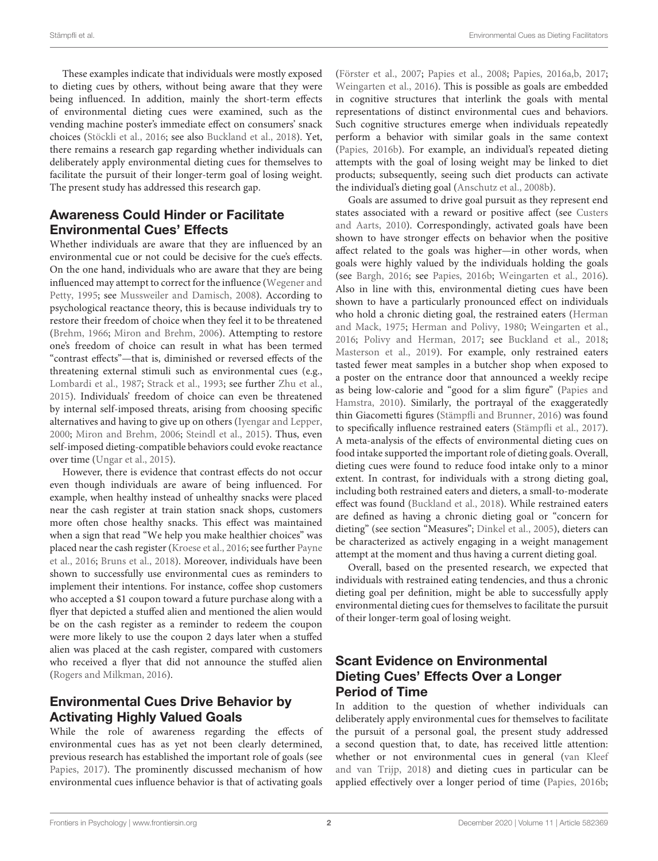These examples indicate that individuals were mostly exposed to dieting cues by others, without being aware that they were being influenced. In addition, mainly the short-term effects of environmental dieting cues were examined, such as the vending machine poster's immediate effect on consumers' snack choices (Stöckli et al., 2016; see also Buckland et al., 2018). Yet, there remains a research gap regarding whether individuals can deliberately apply environmental dieting cues for themselves to facilitate the pursuit of their longer-term goal of losing weight. The present study has addressed this research gap.

### Awareness Could Hinder or Facilitate Environmental Cues' Effects

Whether individuals are aware that they are influenced by an environmental cue or not could be decisive for the cue's effects. On the one hand, individuals who are aware that they are being influenced may attempt to correct for the influence (Wegener and Petty, 1995; see Mussweiler and Damisch, 2008). According to psychological reactance theory, this is because individuals try to restore their freedom of choice when they feel it to be threatened (Brehm, 1966; Miron and Brehm, 2006). Attempting to restore one's freedom of choice can result in what has been termed "contrast effects"—that is, diminished or reversed effects of the threatening external stimuli such as environmental cues (e.g., Lombardi et al., 1987; Strack et al., 1993; see further Zhu et al., 2015). Individuals' freedom of choice can even be threatened by internal self-imposed threats, arising from choosing specific alternatives and having to give up on others (Iyengar and Lepper, 2000; Miron and Brehm, 2006; Steindl et al., 2015). Thus, even self-imposed dieting-compatible behaviors could evoke reactance over time (Ungar et al., 2015).

However, there is evidence that contrast effects do not occur even though individuals are aware of being influenced. For example, when healthy instead of unhealthy snacks were placed near the cash register at train station snack shops, customers more often chose healthy snacks. This effect was maintained when a sign that read "We help you make healthier choices" was placed near the cash register (Kroese et al., 2016; see further Payne et al., 2016; Bruns et al., 2018). Moreover, individuals have been shown to successfully use environmental cues as reminders to implement their intentions. For instance, coffee shop customers who accepted a \$1 coupon toward a future purchase along with a flyer that depicted a stuffed alien and mentioned the alien would be on the cash register as a reminder to redeem the coupon were more likely to use the coupon 2 days later when a stuffed alien was placed at the cash register, compared with customers who received a flyer that did not announce the stuffed alien (Rogers and Milkman, 2016).

# Environmental Cues Drive Behavior by Activating Highly Valued Goals

While the role of awareness regarding the effects of environmental cues has as yet not been clearly determined, previous research has established the important role of goals (see Papies, 2017). The prominently discussed mechanism of how environmental cues influence behavior is that of activating goals (Förster et al., 2007; Papies et al., 2008; Papies, 2016a,b, 2017; Weingarten et al., 2016). This is possible as goals are embedded in cognitive structures that interlink the goals with mental representations of distinct environmental cues and behaviors. Such cognitive structures emerge when individuals repeatedly perform a behavior with similar goals in the same context (Papies, 2016b). For example, an individual's repeated dieting attempts with the goal of losing weight may be linked to diet products; subsequently, seeing such diet products can activate the individual's dieting goal (Anschutz et al., 2008b).

Goals are assumed to drive goal pursuit as they represent end states associated with a reward or positive affect (see Custers and Aarts, 2010). Correspondingly, activated goals have been shown to have stronger effects on behavior when the positive affect related to the goals was higher—in other words, when goals were highly valued by the individuals holding the goals (see Bargh, 2016; see Papies, 2016b; Weingarten et al., 2016). Also in line with this, environmental dieting cues have been shown to have a particularly pronounced effect on individuals who hold a chronic dieting goal, the restrained eaters (Herman and Mack, 1975; Herman and Polivy, 1980; Weingarten et al., 2016; Polivy and Herman, 2017; see Buckland et al., 2018; Masterson et al., 2019). For example, only restrained eaters tasted fewer meat samples in a butcher shop when exposed to a poster on the entrance door that announced a weekly recipe as being low-calorie and "good for a slim figure" (Papies and Hamstra, 2010). Similarly, the portrayal of the exaggeratedly thin Giacometti figures (Stämpfli and Brunner, 2016) was found to specifically influence restrained eaters (Stämpfli et al., 2017). A meta-analysis of the effects of environmental dieting cues on food intake supported the important role of dieting goals. Overall, dieting cues were found to reduce food intake only to a minor extent. In contrast, for individuals with a strong dieting goal, including both restrained eaters and dieters, a small-to-moderate effect was found (Buckland et al., 2018). While restrained eaters are defined as having a chronic dieting goal or "concern for dieting" (see section "Measures"; Dinkel et al., 2005), dieters can be characterized as actively engaging in a weight management attempt at the moment and thus having a current dieting goal.

Overall, based on the presented research, we expected that individuals with restrained eating tendencies, and thus a chronic dieting goal per definition, might be able to successfully apply environmental dieting cues for themselves to facilitate the pursuit of their longer-term goal of losing weight.

# Scant Evidence on Environmental Dieting Cues' Effects Over a Longer Period of Time

In addition to the question of whether individuals can deliberately apply environmental cues for themselves to facilitate the pursuit of a personal goal, the present study addressed a second question that, to date, has received little attention: whether or not environmental cues in general (van Kleef and van Trijp, 2018) and dieting cues in particular can be applied effectively over a longer period of time (Papies, 2016b;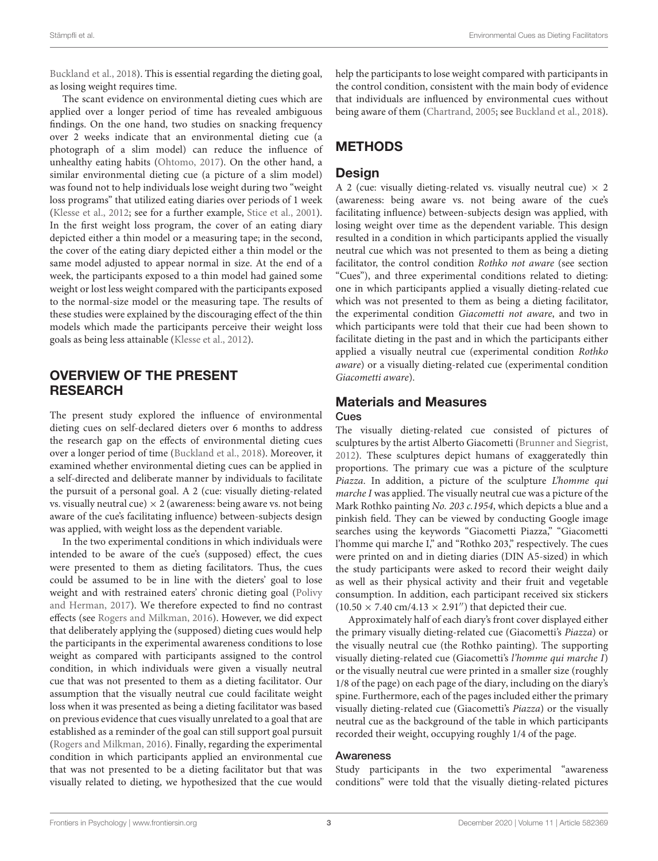Buckland et al., 2018). This is essential regarding the dieting goal, as losing weight requires time.

The scant evidence on environmental dieting cues which are applied over a longer period of time has revealed ambiguous findings. On the one hand, two studies on snacking frequency over 2 weeks indicate that an environmental dieting cue (a photograph of a slim model) can reduce the influence of unhealthy eating habits (Ohtomo, 2017). On the other hand, a similar environmental dieting cue (a picture of a slim model) was found not to help individuals lose weight during two "weight loss programs" that utilized eating diaries over periods of 1 week (Klesse et al., 2012; see for a further example, Stice et al., 2001). In the first weight loss program, the cover of an eating diary depicted either a thin model or a measuring tape; in the second, the cover of the eating diary depicted either a thin model or the same model adjusted to appear normal in size. At the end of a week, the participants exposed to a thin model had gained some weight or lost less weight compared with the participants exposed to the normal-size model or the measuring tape. The results of these studies were explained by the discouraging effect of the thin models which made the participants perceive their weight loss goals as being less attainable (Klesse et al., 2012).

# OVERVIEW OF THE PRESENT **RESEARCH**

The present study explored the influence of environmental dieting cues on self-declared dieters over 6 months to address the research gap on the effects of environmental dieting cues over a longer period of time (Buckland et al., 2018). Moreover, it examined whether environmental dieting cues can be applied in a self-directed and deliberate manner by individuals to facilitate the pursuit of a personal goal. A 2 (cue: visually dieting-related vs. visually neutral cue)  $\times$  2 (awareness: being aware vs. not being aware of the cue's facilitating influence) between-subjects design was applied, with weight loss as the dependent variable.

In the two experimental conditions in which individuals were intended to be aware of the cue's (supposed) effect, the cues were presented to them as dieting facilitators. Thus, the cues could be assumed to be in line with the dieters' goal to lose weight and with restrained eaters' chronic dieting goal (Polivy and Herman, 2017). We therefore expected to find no contrast effects (see Rogers and Milkman, 2016). However, we did expect that deliberately applying the (supposed) dieting cues would help the participants in the experimental awareness conditions to lose weight as compared with participants assigned to the control condition, in which individuals were given a visually neutral cue that was not presented to them as a dieting facilitator. Our assumption that the visually neutral cue could facilitate weight loss when it was presented as being a dieting facilitator was based on previous evidence that cues visually unrelated to a goal that are established as a reminder of the goal can still support goal pursuit (Rogers and Milkman, 2016). Finally, regarding the experimental condition in which participants applied an environmental cue that was not presented to be a dieting facilitator but that was visually related to dieting, we hypothesized that the cue would

help the participants to lose weight compared with participants in the control condition, consistent with the main body of evidence that individuals are influenced by environmental cues without being aware of them (Chartrand, 2005; see Buckland et al., 2018).

# METHODS

# **Design**

A 2 (cue: visually dieting-related vs. visually neutral cue)  $\times$  2 (awareness: being aware vs. not being aware of the cue's facilitating influence) between-subjects design was applied, with losing weight over time as the dependent variable. This design resulted in a condition in which participants applied the visually neutral cue which was not presented to them as being a dieting facilitator, the control condition Rothko not aware (see section "Cues"), and three experimental conditions related to dieting: one in which participants applied a visually dieting-related cue which was not presented to them as being a dieting facilitator, the experimental condition Giacometti not aware, and two in which participants were told that their cue had been shown to facilitate dieting in the past and in which the participants either applied a visually neutral cue (experimental condition Rothko aware) or a visually dieting-related cue (experimental condition Giacometti aware).

# Materials and Measures

#### Cues

The visually dieting-related cue consisted of pictures of sculptures by the artist Alberto Giacometti (Brunner and Siegrist, 2012). These sculptures depict humans of exaggeratedly thin proportions. The primary cue was a picture of the sculpture Piazza. In addition, a picture of the sculpture L'homme qui marche I was applied. The visually neutral cue was a picture of the Mark Rothko painting No. 203 c.1954, which depicts a blue and a pinkish field. They can be viewed by conducting Google image searches using the keywords "Giacometti Piazza," "Giacometti l'homme qui marche I," and "Rothko 203," respectively. The cues were printed on and in dieting diaries (DIN A5-sized) in which the study participants were asked to record their weight daily as well as their physical activity and their fruit and vegetable consumption. In addition, each participant received six stickers  $(10.50 \times 7.40 \text{ cm}/4.13 \times 2.91'')$  that depicted their cue.

Approximately half of each diary's front cover displayed either the primary visually dieting-related cue (Giacometti's Piazza) or the visually neutral cue (the Rothko painting). The supporting visually dieting-related cue (Giacometti's l'homme qui marche I) or the visually neutral cue were printed in a smaller size (roughly 1/8 of the page) on each page of the diary, including on the diary's spine. Furthermore, each of the pages included either the primary visually dieting-related cue (Giacometti's Piazza) or the visually neutral cue as the background of the table in which participants recorded their weight, occupying roughly 1/4 of the page.

#### Awareness

Study participants in the two experimental "awareness conditions" were told that the visually dieting-related pictures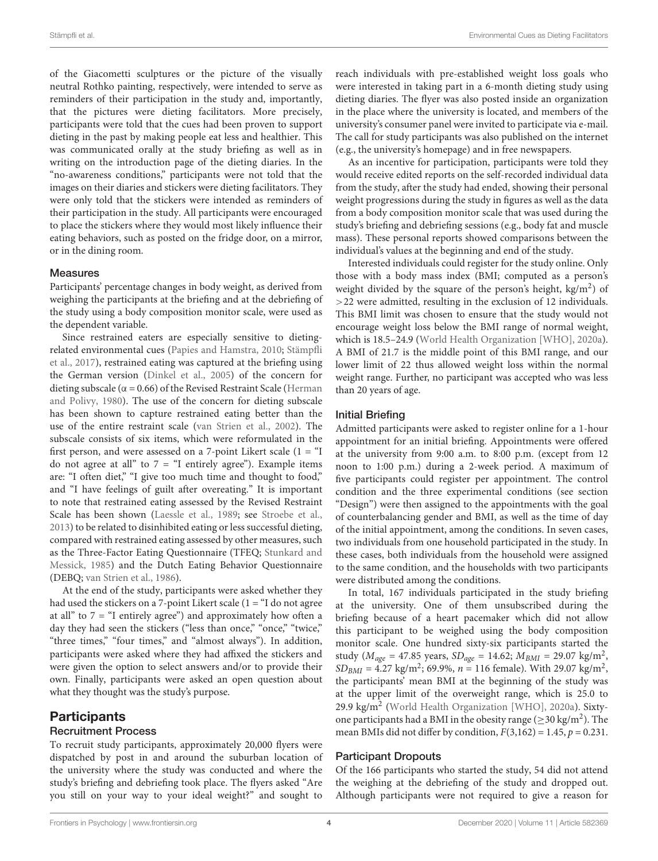of the Giacometti sculptures or the picture of the visually neutral Rothko painting, respectively, were intended to serve as reminders of their participation in the study and, importantly, that the pictures were dieting facilitators. More precisely, participants were told that the cues had been proven to support dieting in the past by making people eat less and healthier. This was communicated orally at the study briefing as well as in writing on the introduction page of the dieting diaries. In the "no-awareness conditions," participants were not told that the images on their diaries and stickers were dieting facilitators. They were only told that the stickers were intended as reminders of their participation in the study. All participants were encouraged to place the stickers where they would most likely influence their eating behaviors, such as posted on the fridge door, on a mirror, or in the dining room.

#### Measures

Participants' percentage changes in body weight, as derived from weighing the participants at the briefing and at the debriefing of the study using a body composition monitor scale, were used as the dependent variable.

Since restrained eaters are especially sensitive to dietingrelated environmental cues (Papies and Hamstra, 2010; Stämpfli et al., 2017), restrained eating was captured at the briefing using the German version (Dinkel et al., 2005) of the concern for dieting subscale ( $\alpha$  = 0.66) of the Revised Restraint Scale (Herman and Polivy, 1980). The use of the concern for dieting subscale has been shown to capture restrained eating better than the use of the entire restraint scale (van Strien et al., 2002). The subscale consists of six items, which were reformulated in the first person, and were assessed on a 7-point Likert scale  $(1 - \alpha I)$ do not agree at all" to  $7 =$  "I entirely agree"). Example items are: "I often diet," "I give too much time and thought to food," and "I have feelings of guilt after overeating." It is important to note that restrained eating assessed by the Revised Restraint Scale has been shown (Laessle et al., 1989; see Stroebe et al., 2013) to be related to disinhibited eating or less successful dieting, compared with restrained eating assessed by other measures, such as the Three-Factor Eating Questionnaire (TFEQ; Stunkard and Messick, 1985) and the Dutch Eating Behavior Questionnaire (DEBQ; van Strien et al., 1986).

At the end of the study, participants were asked whether they had used the stickers on a 7-point Likert scale (1 = "I do not agree at all" to  $7 =$  "I entirely agree") and approximately how often a day they had seen the stickers ("less than once," "once," "twice," "three times," "four times," and "almost always"). In addition, participants were asked where they had affixed the stickers and were given the option to select answers and/or to provide their own. Finally, participants were asked an open question about what they thought was the study's purpose.

# **Participants**

#### Recruitment Process

To recruit study participants, approximately 20,000 flyers were dispatched by post in and around the suburban location of the university where the study was conducted and where the study's briefing and debriefing took place. The flyers asked "Are you still on your way to your ideal weight?" and sought to

reach individuals with pre-established weight loss goals who were interested in taking part in a 6-month dieting study using dieting diaries. The flyer was also posted inside an organization in the place where the university is located, and members of the university's consumer panel were invited to participate via e-mail. The call for study participants was also published on the internet (e.g., the university's homepage) and in free newspapers.

As an incentive for participation, participants were told they would receive edited reports on the self-recorded individual data from the study, after the study had ended, showing their personal weight progressions during the study in figures as well as the data from a body composition monitor scale that was used during the study's briefing and debriefing sessions (e.g., body fat and muscle mass). These personal reports showed comparisons between the individual's values at the beginning and end of the study.

Interested individuals could register for the study online. Only those with a body mass index (BMI; computed as a person's weight divided by the square of the person's height,  $\text{kg/m}^2$ ) of >22 were admitted, resulting in the exclusion of 12 individuals. This BMI limit was chosen to ensure that the study would not encourage weight loss below the BMI range of normal weight, which is 18.5–24.9 (World Health Organization [WHO], 2020a). A BMI of 21.7 is the middle point of this BMI range, and our lower limit of 22 thus allowed weight loss within the normal weight range. Further, no participant was accepted who was less than 20 years of age.

#### Initial Briefing

Admitted participants were asked to register online for a 1-hour appointment for an initial briefing. Appointments were offered at the university from 9:00 a.m. to 8:00 p.m. (except from 12 noon to 1:00 p.m.) during a 2-week period. A maximum of five participants could register per appointment. The control condition and the three experimental conditions (see section "Design") were then assigned to the appointments with the goal of counterbalancing gender and BMI, as well as the time of day of the initial appointment, among the conditions. In seven cases, two individuals from one household participated in the study. In these cases, both individuals from the household were assigned to the same condition, and the households with two participants were distributed among the conditions.

In total, 167 individuals participated in the study briefing at the university. One of them unsubscribed during the briefing because of a heart pacemaker which did not allow this participant to be weighed using the body composition monitor scale. One hundred sixty-six participants started the study ( $M_{age} = 47.85$  years,  $SD_{age} = 14.62$ ;  $M_{BMI} = 29.07$  kg/m<sup>2</sup>,  $SD_{BMI} = 4.27 \text{ kg/m}^2$ ; 69.9%,  $n = 116 \text{ female}$ ). With 29.07 kg/m<sup>2</sup>, the participants' mean BMI at the beginning of the study was at the upper limit of the overweight range, which is 25.0 to 29.9 kg/m<sup>2</sup> (World Health Organization [WHO], 2020a). Sixtyone participants had a BMI in the obesity range ( $\geq$ 30 kg/m<sup>2</sup>). The mean BMIs did not differ by condition,  $F(3,162) = 1.45$ ,  $p = 0.231$ .

#### Participant Dropouts

Of the 166 participants who started the study, 54 did not attend the weighing at the debriefing of the study and dropped out. Although participants were not required to give a reason for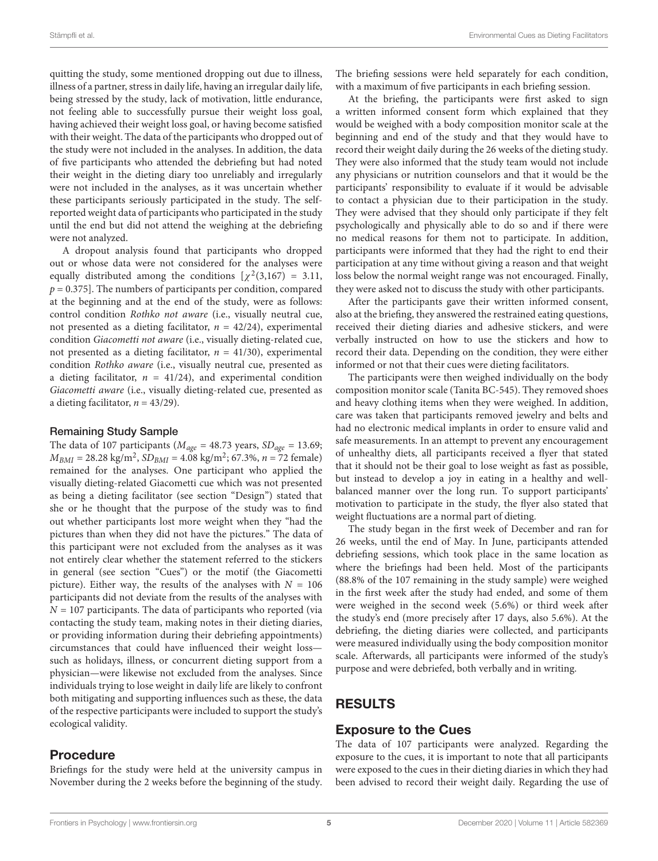quitting the study, some mentioned dropping out due to illness, illness of a partner, stress in daily life, having an irregular daily life, being stressed by the study, lack of motivation, little endurance, not feeling able to successfully pursue their weight loss goal, having achieved their weight loss goal, or having become satisfied with their weight. The data of the participants who dropped out of the study were not included in the analyses. In addition, the data of five participants who attended the debriefing but had noted their weight in the dieting diary too unreliably and irregularly were not included in the analyses, as it was uncertain whether these participants seriously participated in the study. The selfreported weight data of participants who participated in the study until the end but did not attend the weighing at the debriefing were not analyzed.

A dropout analysis found that participants who dropped out or whose data were not considered for the analyses were equally distributed among the conditions  $[\chi^2(3,167) = 3.11,$  $p = 0.375$ . The numbers of participants per condition, compared at the beginning and at the end of the study, were as follows: control condition Rothko not aware (i.e., visually neutral cue, not presented as a dieting facilitator,  $n = 42/24$ ), experimental condition Giacometti not aware (i.e., visually dieting-related cue, not presented as a dieting facilitator,  $n = 41/30$ , experimental condition Rothko aware (i.e., visually neutral cue, presented as a dieting facilitator,  $n = 41/24$ , and experimental condition Giacometti aware (i.e., visually dieting-related cue, presented as a dieting facilitator,  $n = 43/29$ ).

#### Remaining Study Sample

The data of 107 participants ( $M_{age} = 48.73$  years,  $SD_{age} = 13.69$ ;  $M_{BMI} = 28.28 \text{ kg/m}^2$ ,  $SD_{BMI} = 4.08 \text{ kg/m}^2$ ; 67.3%,  $n = 72 \text{ female}$ ) remained for the analyses. One participant who applied the visually dieting-related Giacometti cue which was not presented as being a dieting facilitator (see section "Design") stated that she or he thought that the purpose of the study was to find out whether participants lost more weight when they "had the pictures than when they did not have the pictures." The data of this participant were not excluded from the analyses as it was not entirely clear whether the statement referred to the stickers in general (see section "Cues") or the motif (the Giacometti picture). Either way, the results of the analyses with  $N = 106$ participants did not deviate from the results of the analyses with  $N = 107$  participants. The data of participants who reported (via contacting the study team, making notes in their dieting diaries, or providing information during their debriefing appointments) circumstances that could have influenced their weight loss such as holidays, illness, or concurrent dieting support from a physician—were likewise not excluded from the analyses. Since individuals trying to lose weight in daily life are likely to confront both mitigating and supporting influences such as these, the data of the respective participants were included to support the study's ecological validity.

### Procedure

Briefings for the study were held at the university campus in November during the 2 weeks before the beginning of the study. The briefing sessions were held separately for each condition, with a maximum of five participants in each briefing session.

At the briefing, the participants were first asked to sign a written informed consent form which explained that they would be weighed with a body composition monitor scale at the beginning and end of the study and that they would have to record their weight daily during the 26 weeks of the dieting study. They were also informed that the study team would not include any physicians or nutrition counselors and that it would be the participants' responsibility to evaluate if it would be advisable to contact a physician due to their participation in the study. They were advised that they should only participate if they felt psychologically and physically able to do so and if there were no medical reasons for them not to participate. In addition, participants were informed that they had the right to end their participation at any time without giving a reason and that weight loss below the normal weight range was not encouraged. Finally, they were asked not to discuss the study with other participants.

After the participants gave their written informed consent, also at the briefing, they answered the restrained eating questions, received their dieting diaries and adhesive stickers, and were verbally instructed on how to use the stickers and how to record their data. Depending on the condition, they were either informed or not that their cues were dieting facilitators.

The participants were then weighed individually on the body composition monitor scale (Tanita BC-545). They removed shoes and heavy clothing items when they were weighed. In addition, care was taken that participants removed jewelry and belts and had no electronic medical implants in order to ensure valid and safe measurements. In an attempt to prevent any encouragement of unhealthy diets, all participants received a flyer that stated that it should not be their goal to lose weight as fast as possible, but instead to develop a joy in eating in a healthy and wellbalanced manner over the long run. To support participants' motivation to participate in the study, the flyer also stated that weight fluctuations are a normal part of dieting.

The study began in the first week of December and ran for 26 weeks, until the end of May. In June, participants attended debriefing sessions, which took place in the same location as where the briefings had been held. Most of the participants (88.8% of the 107 remaining in the study sample) were weighed in the first week after the study had ended, and some of them were weighed in the second week (5.6%) or third week after the study's end (more precisely after 17 days, also 5.6%). At the debriefing, the dieting diaries were collected, and participants were measured individually using the body composition monitor scale. Afterwards, all participants were informed of the study's purpose and were debriefed, both verbally and in writing.

# RESULTS

### Exposure to the Cues

The data of 107 participants were analyzed. Regarding the exposure to the cues, it is important to note that all participants were exposed to the cues in their dieting diaries in which they had been advised to record their weight daily. Regarding the use of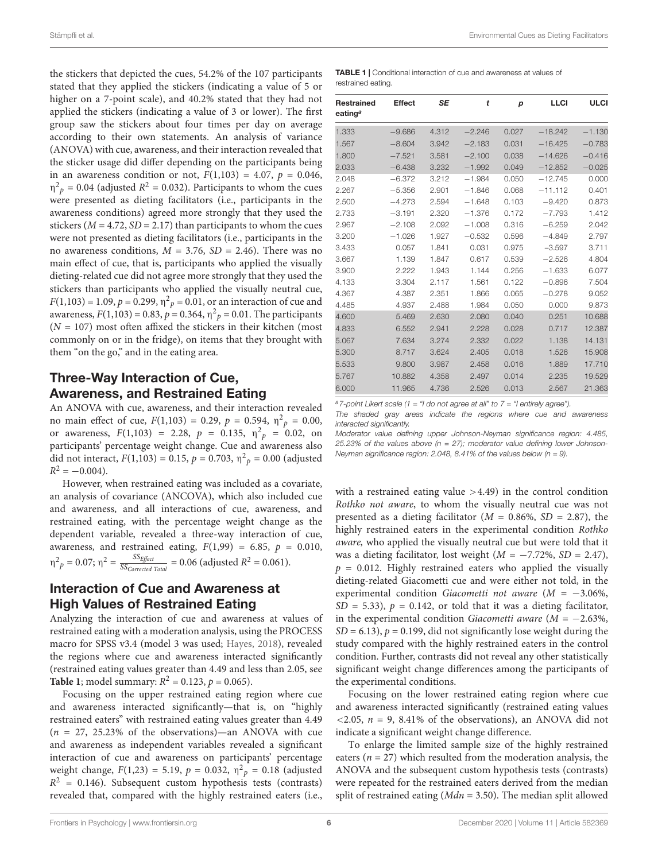the stickers that depicted the cues, 54.2% of the 107 participants stated that they applied the stickers (indicating a value of 5 or higher on a 7-point scale), and 40.2% stated that they had not applied the stickers (indicating a value of 3 or lower). The first group saw the stickers about four times per day on average according to their own statements. An analysis of variance (ANOVA) with cue, awareness, and their interaction revealed that the sticker usage did differ depending on the participants being in an awareness condition or not,  $F(1,103) = 4.07$ ,  $p = 0.046$ ,  $\eta^2$ <sub>p</sub> = 0.04 (adjusted R<sup>2</sup> = 0.032). Participants to whom the cues were presented as dieting facilitators (i.e., participants in the awareness conditions) agreed more strongly that they used the stickers ( $M = 4.72$ ,  $SD = 2.17$ ) than participants to whom the cues were not presented as dieting facilitators (i.e., participants in the no awareness conditions,  $M = 3.76$ ,  $SD = 2.46$ ). There was no main effect of cue, that is, participants who applied the visually dieting-related cue did not agree more strongly that they used the stickers than participants who applied the visually neutral cue,  $F(1,103) = 1.09, p = 0.299, \eta^2_p = 0.01$ , or an interaction of cue and awareness,  $F(1,103) = 0.83$ ,  $p = 0.364$ ,  $\eta^2 p = 0.01$ . The participants  $(N = 107)$  most often affixed the stickers in their kitchen (most commonly on or in the fridge), on items that they brought with them "on the go," and in the eating area.

# Three-Way Interaction of Cue, Awareness, and Restrained Eating

An ANOVA with cue, awareness, and their interaction revealed no main effect of cue,  $F(1,103) = 0.29$ ,  $p = 0.594$ ,  $\eta^2 p = 0.00$ , or awareness,  $F(1,103) = 2.28$ ,  $p = 0.135$ ,  $\eta^2 p = 0.02$ , on participants' percentage weight change. Cue and awareness also did not interact,  $F(1,103) = 0.15$ ,  $p = 0.703$ ,  $\eta^2 p = 0.00$  (adjusted  $R^2 = -0.004$ ).

However, when restrained eating was included as a covariate, an analysis of covariance (ANCOVA), which also included cue and awareness, and all interactions of cue, awareness, and restrained eating, with the percentage weight change as the dependent variable, revealed a three-way interaction of cue, awareness, and restrained eating,  $F(1,99) = 6.85$ ,  $p = 0.010$ ,  $\eta^2 p = 0.07; \eta^2 = \frac{SS_{Effect}}{SS_{Correct}}$  $\frac{SSEfject}{SSEgTect}$  = 0.06 (adjusted  $R^2$  = 0.061).

### Interaction of Cue and Awareness at High Values of Restrained Eating

Analyzing the interaction of cue and awareness at values of restrained eating with a moderation analysis, using the PROCESS macro for SPSS v3.4 (model 3 was used; Hayes, 2018), revealed the regions where cue and awareness interacted significantly (restrained eating values greater than 4.49 and less than 2.05, see **Table 1**; model summary:  $R^2 = 0.123$ ,  $p = 0.065$ ).

Focusing on the upper restrained eating region where cue and awareness interacted significantly—that is, on "highly restrained eaters" with restrained eating values greater than 4.49  $(n = 27, 25.23\%$  of the observations)—an ANOVA with cue and awareness as independent variables revealed a significant interaction of cue and awareness on participants' percentage weight change,  $F(1,23) = 5.19$ ,  $p = 0.032$ ,  $\eta^2_p = 0.18$  (adjusted  $R<sup>2</sup> = 0.146$ ). Subsequent custom hypothesis tests (contrasts) revealed that, compared with the highly restrained eaters (i.e.,

TABLE 1 | Conditional interaction of cue and awareness at values of restrained eating.

| <b>Restrained</b><br>eating <sup>a</sup> | <b>Effect</b> | <b>SE</b> | t        | p     | <b>LLCI</b> | ULCI     |
|------------------------------------------|---------------|-----------|----------|-------|-------------|----------|
| 1.333                                    | $-9.686$      | 4.312     | $-2.246$ | 0.027 | $-18.242$   | $-1.130$ |
| 1.567                                    | $-8.604$      | 3.942     | $-2.183$ | 0.031 | $-16.425$   | $-0.783$ |
| 1.800                                    | $-7.521$      | 3.581     | $-2.100$ | 0.038 | $-14.626$   | $-0.416$ |
| 2.033                                    | $-6.438$      | 3.232     | $-1.992$ | 0.049 | $-12.852$   | $-0.025$ |
| 2.048                                    | $-6.372$      | 3.212     | $-1.984$ | 0.050 | $-12.745$   | 0.000    |
| 2.267                                    | $-5.356$      | 2.901     | $-1.846$ | 0.068 | $-11.112$   | 0.401    |
| 2.500                                    | $-4.273$      | 2.594     | $-1.648$ | 0.103 | $-9.420$    | 0.873    |
| 2.733                                    | $-3.191$      | 2.320     | $-1.376$ | 0.172 | $-7.793$    | 1.412    |
| 2.967                                    | $-2.108$      | 2.092     | $-1.008$ | 0.316 | $-6.259$    | 2.042    |
| 3.200                                    | $-1.026$      | 1.927     | $-0.532$ | 0.596 | $-4.849$    | 2.797    |
| 3.433                                    | 0.057         | 1.841     | 0.031    | 0.975 | $-3.597$    | 3.711    |
| 3.667                                    | 1.139         | 1.847     | 0.617    | 0.539 | $-2.526$    | 4.804    |
| 3.900                                    | 2.222         | 1.943     | 1.144    | 0.256 | $-1.633$    | 6.077    |
| 4.133                                    | 3.304         | 2.117     | 1.561    | 0.122 | $-0.896$    | 7.504    |
| 4.367                                    | 4.387         | 2.351     | 1.866    | 0.065 | $-0.278$    | 9.052    |
| 4.485                                    | 4.937         | 2.488     | 1.984    | 0.050 | 0.000       | 9.873    |
| 4.600                                    | 5.469         | 2.630     | 2.080    | 0.040 | 0.251       | 10.688   |
| 4.833                                    | 6.552         | 2.941     | 2.228    | 0.028 | 0.717       | 12.387   |
| 5.067                                    | 7.634         | 3.274     | 2.332    | 0.022 | 1.138       | 14.131   |
| 5.300                                    | 8.717         | 3.624     | 2.405    | 0.018 | 1.526       | 15.908   |
| 5.533                                    | 9.800         | 3.987     | 2.458    | 0.016 | 1.889       | 17.710   |
| 5.767                                    | 10.882        | 4.358     | 2.497    | 0.014 | 2.235       | 19.529   |
| 6.000                                    | 11.965        | 4.736     | 2.526    | 0.013 | 2.567       | 21.363   |

 $a$ 7-point Likert scale (1 = "I do not agree at all" to 7 = "I entirely agree").

The shaded gray areas indicate the regions where cue and awareness interacted significantly.

Moderator value defining upper Johnson-Neyman significance region: 4.485, 25.23% of the values above ( $n = 27$ ); moderator value defining lower Johnson-Neyman significance region: 2.048, 8.41% of the values below ( $n = 9$ ).

with a restrained eating value  $>4.49$ ) in the control condition Rothko not aware, to whom the visually neutral cue was not presented as a dieting facilitator ( $M = 0.86\%$ ,  $SD = 2.87$ ), the highly restrained eaters in the experimental condition Rothko aware, who applied the visually neutral cue but were told that it was a dieting facilitator, lost weight  $(M = -7.72\%, SD = 2.47)$ ,  $p = 0.012$ . Highly restrained eaters who applied the visually dieting-related Giacometti cue and were either not told, in the experimental condition Giacometti not aware  $(M = -3.06\%$ ,  $SD = 5.33$ ,  $p = 0.142$ , or told that it was a dieting facilitator, in the experimental condition Giacometti aware ( $M = -2.63\%$ ,  $SD = 6.13$ ,  $p = 0.199$ , did not significantly lose weight during the study compared with the highly restrained eaters in the control condition. Further, contrasts did not reveal any other statistically significant weight change differences among the participants of the experimental conditions.

Focusing on the lower restrained eating region where cue and awareness interacted significantly (restrained eating values  $\langle 2.05, n = 9, 8.41\%$  of the observations), an ANOVA did not indicate a significant weight change difference.

To enlarge the limited sample size of the highly restrained eaters ( $n = 27$ ) which resulted from the moderation analysis, the ANOVA and the subsequent custom hypothesis tests (contrasts) were repeated for the restrained eaters derived from the median split of restrained eating ( $Mdn = 3.50$ ). The median split allowed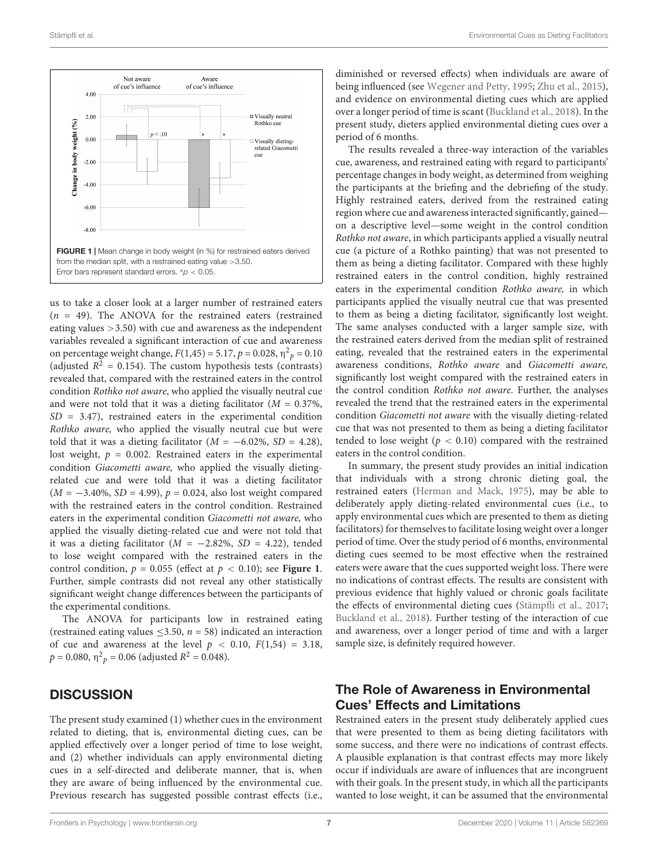

us to take a closer look at a larger number of restrained eaters  $(n = 49)$ . The ANOVA for the restrained eaters (restrained eating values >3.50) with cue and awareness as the independent variables revealed a significant interaction of cue and awareness on percentage weight change,  $F(1,45) = 5.17$ ,  $p = 0.028$ ,  $\eta^2 p = 0.10$ (adjusted  $R^2 = 0.154$ ). The custom hypothesis tests (contrasts) revealed that, compared with the restrained eaters in the control condition Rothko not aware, who applied the visually neutral cue and were not told that it was a dieting facilitator ( $M = 0.37\%$ ,  $SD = 3.47$ , restrained eaters in the experimental condition Rothko aware, who applied the visually neutral cue but were told that it was a dieting facilitator ( $M = -6.02\%$ ,  $SD = 4.28$ ), lost weight,  $p = 0.002$ . Restrained eaters in the experimental condition Giacometti aware, who applied the visually dietingrelated cue and were told that it was a dieting facilitator  $(M = -3.40\%, SD = 4.99), p = 0.024$ , also lost weight compared with the restrained eaters in the control condition. Restrained eaters in the experimental condition Giacometti not aware, who applied the visually dieting-related cue and were not told that it was a dieting facilitator ( $M = -2.82\%$ , SD = 4.22), tended to lose weight compared with the restrained eaters in the control condition,  $p = 0.055$  (effect at  $p < 0.10$ ); see **Figure 1**. Further, simple contrasts did not reveal any other statistically significant weight change differences between the participants of the experimental conditions.

The ANOVA for participants low in restrained eating (restrained eating values  $\leq$ 3.50,  $n = 58$ ) indicated an interaction of cue and awareness at the level  $p < 0.10$ ,  $F(1,54) = 3.18$ ,  $p = 0.080$ ,  $\eta^2_{p} = 0.06$  (adjusted  $R^2 = 0.048$ ).

### **DISCUSSION**

The present study examined (1) whether cues in the environment related to dieting, that is, environmental dieting cues, can be applied effectively over a longer period of time to lose weight, and (2) whether individuals can apply environmental dieting cues in a self-directed and deliberate manner, that is, when they are aware of being influenced by the environmental cue. Previous research has suggested possible contrast effects (i.e., diminished or reversed effects) when individuals are aware of being influenced (see Wegener and Petty, 1995; Zhu et al., 2015), and evidence on environmental dieting cues which are applied over a longer period of time is scant (Buckland et al., 2018). In the present study, dieters applied environmental dieting cues over a period of 6 months.

The results revealed a three-way interaction of the variables cue, awareness, and restrained eating with regard to participants' percentage changes in body weight, as determined from weighing the participants at the briefing and the debriefing of the study. Highly restrained eaters, derived from the restrained eating region where cue and awareness interacted significantly, gained on a descriptive level—some weight in the control condition Rothko not aware, in which participants applied a visually neutral cue (a picture of a Rothko painting) that was not presented to them as being a dieting facilitator. Compared with these highly restrained eaters in the control condition, highly restrained eaters in the experimental condition Rothko aware, in which participants applied the visually neutral cue that was presented to them as being a dieting facilitator, significantly lost weight. The same analyses conducted with a larger sample size, with the restrained eaters derived from the median split of restrained eating, revealed that the restrained eaters in the experimental awareness conditions, Rothko aware and Giacometti aware, significantly lost weight compared with the restrained eaters in the control condition Rothko not aware. Further, the analyses revealed the trend that the restrained eaters in the experimental condition Giacometti not aware with the visually dieting-related cue that was not presented to them as being a dieting facilitator tended to lose weight ( $p < 0.10$ ) compared with the restrained eaters in the control condition.

In summary, the present study provides an initial indication that individuals with a strong chronic dieting goal, the restrained eaters (Herman and Mack, 1975), may be able to deliberately apply dieting-related environmental cues (i.e., to apply environmental cues which are presented to them as dieting facilitators) for themselves to facilitate losing weight over a longer period of time. Over the study period of 6 months, environmental dieting cues seemed to be most effective when the restrained eaters were aware that the cues supported weight loss. There were no indications of contrast effects. The results are consistent with previous evidence that highly valued or chronic goals facilitate the effects of environmental dieting cues (Stämpfli et al., 2017; Buckland et al., 2018). Further testing of the interaction of cue and awareness, over a longer period of time and with a larger sample size, is definitely required however.

### The Role of Awareness in Environmental Cues' Effects and Limitations

Restrained eaters in the present study deliberately applied cues that were presented to them as being dieting facilitators with some success, and there were no indications of contrast effects. A plausible explanation is that contrast effects may more likely occur if individuals are aware of influences that are incongruent with their goals. In the present study, in which all the participants wanted to lose weight, it can be assumed that the environmental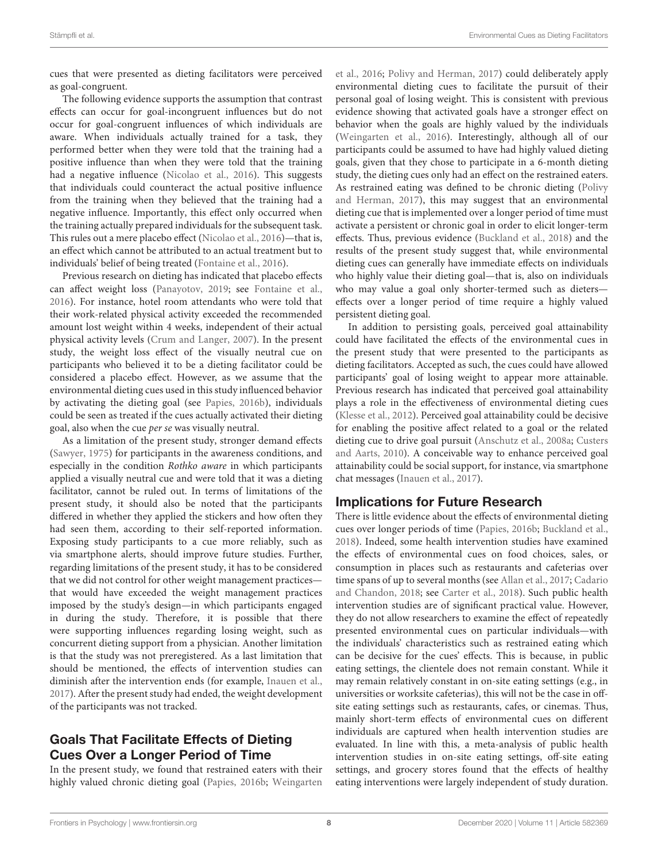cues that were presented as dieting facilitators were perceived as goal-congruent.

The following evidence supports the assumption that contrast effects can occur for goal-incongruent influences but do not occur for goal-congruent influences of which individuals are aware. When individuals actually trained for a task, they performed better when they were told that the training had a positive influence than when they were told that the training had a negative influence (Nicolao et al., 2016). This suggests that individuals could counteract the actual positive influence from the training when they believed that the training had a negative influence. Importantly, this effect only occurred when the training actually prepared individuals for the subsequent task. This rules out a mere placebo effect (Nicolao et al., 2016)—that is, an effect which cannot be attributed to an actual treatment but to individuals' belief of being treated (Fontaine et al., 2016).

Previous research on dieting has indicated that placebo effects can affect weight loss (Panayotov, 2019; see Fontaine et al., 2016). For instance, hotel room attendants who were told that their work-related physical activity exceeded the recommended amount lost weight within 4 weeks, independent of their actual physical activity levels (Crum and Langer, 2007). In the present study, the weight loss effect of the visually neutral cue on participants who believed it to be a dieting facilitator could be considered a placebo effect. However, as we assume that the environmental dieting cues used in this study influenced behavior by activating the dieting goal (see Papies, 2016b), individuals could be seen as treated if the cues actually activated their dieting goal, also when the cue per se was visually neutral.

As a limitation of the present study, stronger demand effects (Sawyer, 1975) for participants in the awareness conditions, and especially in the condition Rothko aware in which participants applied a visually neutral cue and were told that it was a dieting facilitator, cannot be ruled out. In terms of limitations of the present study, it should also be noted that the participants differed in whether they applied the stickers and how often they had seen them, according to their self-reported information. Exposing study participants to a cue more reliably, such as via smartphone alerts, should improve future studies. Further, regarding limitations of the present study, it has to be considered that we did not control for other weight management practices that would have exceeded the weight management practices imposed by the study's design—in which participants engaged in during the study. Therefore, it is possible that there were supporting influences regarding losing weight, such as concurrent dieting support from a physician. Another limitation is that the study was not preregistered. As a last limitation that should be mentioned, the effects of intervention studies can diminish after the intervention ends (for example, Inauen et al., 2017). After the present study had ended, the weight development of the participants was not tracked.

# Goals That Facilitate Effects of Dieting Cues Over a Longer Period of Time

In the present study, we found that restrained eaters with their highly valued chronic dieting goal (Papies, 2016b; Weingarten et al., 2016; Polivy and Herman, 2017) could deliberately apply environmental dieting cues to facilitate the pursuit of their personal goal of losing weight. This is consistent with previous evidence showing that activated goals have a stronger effect on behavior when the goals are highly valued by the individuals (Weingarten et al., 2016). Interestingly, although all of our participants could be assumed to have had highly valued dieting goals, given that they chose to participate in a 6-month dieting study, the dieting cues only had an effect on the restrained eaters. As restrained eating was defined to be chronic dieting (Polivy and Herman, 2017), this may suggest that an environmental dieting cue that is implemented over a longer period of time must activate a persistent or chronic goal in order to elicit longer-term effects. Thus, previous evidence (Buckland et al., 2018) and the results of the present study suggest that, while environmental dieting cues can generally have immediate effects on individuals who highly value their dieting goal—that is, also on individuals who may value a goal only shorter-termed such as dieters effects over a longer period of time require a highly valued persistent dieting goal.

In addition to persisting goals, perceived goal attainability could have facilitated the effects of the environmental cues in the present study that were presented to the participants as dieting facilitators. Accepted as such, the cues could have allowed participants' goal of losing weight to appear more attainable. Previous research has indicated that perceived goal attainability plays a role in the effectiveness of environmental dieting cues (Klesse et al., 2012). Perceived goal attainability could be decisive for enabling the positive affect related to a goal or the related dieting cue to drive goal pursuit (Anschutz et al., 2008a; Custers and Aarts, 2010). A conceivable way to enhance perceived goal attainability could be social support, for instance, via smartphone chat messages (Inauen et al., 2017).

### Implications for Future Research

There is little evidence about the effects of environmental dieting cues over longer periods of time (Papies, 2016b; Buckland et al., 2018). Indeed, some health intervention studies have examined the effects of environmental cues on food choices, sales, or consumption in places such as restaurants and cafeterias over time spans of up to several months (see Allan et al., 2017; Cadario and Chandon, 2018; see Carter et al., 2018). Such public health intervention studies are of significant practical value. However, they do not allow researchers to examine the effect of repeatedly presented environmental cues on particular individuals—with the individuals' characteristics such as restrained eating which can be decisive for the cues' effects. This is because, in public eating settings, the clientele does not remain constant. While it may remain relatively constant in on-site eating settings (e.g., in universities or worksite cafeterias), this will not be the case in offsite eating settings such as restaurants, cafes, or cinemas. Thus, mainly short-term effects of environmental cues on different individuals are captured when health intervention studies are evaluated. In line with this, a meta-analysis of public health intervention studies in on-site eating settings, off-site eating settings, and grocery stores found that the effects of healthy eating interventions were largely independent of study duration.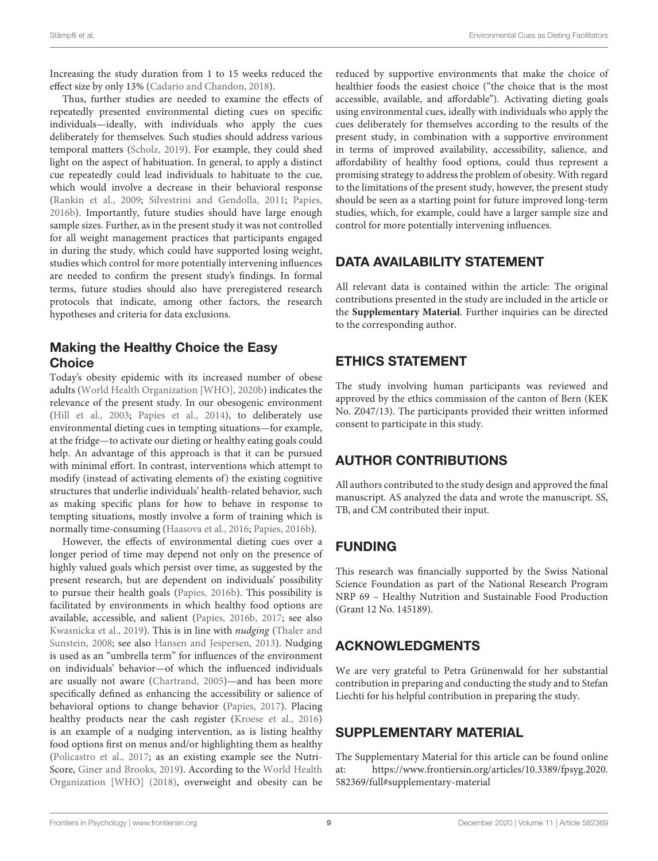Increasing the study duration from 1 to 15 weeks reduced the effect size by only 13% (Cadario and Chandon, 2018).

Thus, further studies are needed to examine the effects of repeatedly presented environmental dieting cues on specific individuals—ideally, with individuals who apply the cues deliberately for themselves. Such studies should address various temporal matters (Scholz, 2019). For example, they could shed light on the aspect of habituation. In general, to apply a distinct cue repeatedly could lead individuals to habituate to the cue, which would involve a decrease in their behavioral response (Rankin et al., 2009; Silvestrini and Gendolla, 2011; Papies, 2016b). Importantly, future studies should have large enough sample sizes. Further, as in the present study it was not controlled for all weight management practices that participants engaged in during the study, which could have supported losing weight, studies which control for more potentially intervening influences are needed to confirm the present study's findings. In formal terms, future studies should also have preregistered research protocols that indicate, among other factors, the research hypotheses and criteria for data exclusions.

# Making the Healthy Choice the Easy **Choice**

Today's obesity epidemic with its increased number of obese adults (World Health Organization [WHO], 2020b) indicates the relevance of the present study. In our obesogenic environment (Hill et al., 2003; Papies et al., 2014), to deliberately use environmental dieting cues in tempting situations—for example, at the fridge—to activate our dieting or healthy eating goals could help. An advantage of this approach is that it can be pursued with minimal effort. In contrast, interventions which attempt to modify (instead of activating elements of) the existing cognitive structures that underlie individuals' health-related behavior, such as making specific plans for how to behave in response to tempting situations, mostly involve a form of training which is normally time-consuming (Haasova et al., 2016; Papies, 2016b).

However, the effects of environmental dieting cues over a longer period of time may depend not only on the presence of highly valued goals which persist over time, as suggested by the present research, but are dependent on individuals' possibility to pursue their health goals (Papies, 2016b). This possibility is facilitated by environments in which healthy food options are available, accessible, and salient (Papies, 2016b, 2017; see also Kwasnicka et al., 2019). This is in line with nudging (Thaler and Sunstein, 2008; see also Hansen and Jespersen, 2013). Nudging is used as an "umbrella term" for influences of the environment on individuals' behavior—of which the influenced individuals are usually not aware (Chartrand, 2005)—and has been more specifically defined as enhancing the accessibility or salience of behavioral options to change behavior (Papies, 2017). Placing healthy products near the cash register (Kroese et al., 2016) is an example of a nudging intervention, as is listing healthy food options first on menus and/or highlighting them as healthy (Policastro et al., 2017; as an existing example see the Nutri-Score, Giner and Brooks, 2019). According to the World Health Organization [WHO] (2018), overweight and obesity can be

reduced by supportive environments that make the choice of healthier foods the easiest choice ("the choice that is the most accessible, available, and affordable"). Activating dieting goals using environmental cues, ideally with individuals who apply the cues deliberately for themselves according to the results of the present study, in combination with a supportive environment in terms of improved availability, accessibility, salience, and affordability of healthy food options, could thus represent a promising strategy to address the problem of obesity. With regard to the limitations of the present study, however, the present study should be seen as a starting point for future improved long-term studies, which, for example, could have a larger sample size and control for more potentially intervening influences.

# DATA AVAILABILITY STATEMENT

All relevant data is contained within the article: The original contributions presented in the study are included in the article or the **Supplementary Material**. Further inquiries can be directed to the corresponding author.

# ETHICS STATEMENT

The study involving human participants was reviewed and approved by the ethics commission of the canton of Bern (KEK No. Z047/13). The participants provided their written informed consent to participate in this study.

# AUTHOR CONTRIBUTIONS

All authors contributed to the study design and approved the final manuscript. AS analyzed the data and wrote the manuscript. SS, TB, and CM contributed their input.

# FUNDING

This research was financially supported by the Swiss National Science Foundation as part of the National Research Program NRP 69 – Healthy Nutrition and Sustainable Food Production (Grant 12 No. 145189).

# ACKNOWLEDGMENTS

We are very grateful to Petra Grünenwald for her substantial contribution in preparing and conducting the study and to Stefan Liechti for his helpful contribution in preparing the study.

# SUPPLEMENTARY MATERIAL

The Supplementary Material for this article can be found online at: [https://www.frontiersin.org/articles/10.3389/fpsyg.2020.](https://www.frontiersin.org/articles/10.3389/fpsyg.2020.582369/full#supplementary-material) [582369/full#supplementary-material](https://www.frontiersin.org/articles/10.3389/fpsyg.2020.582369/full#supplementary-material)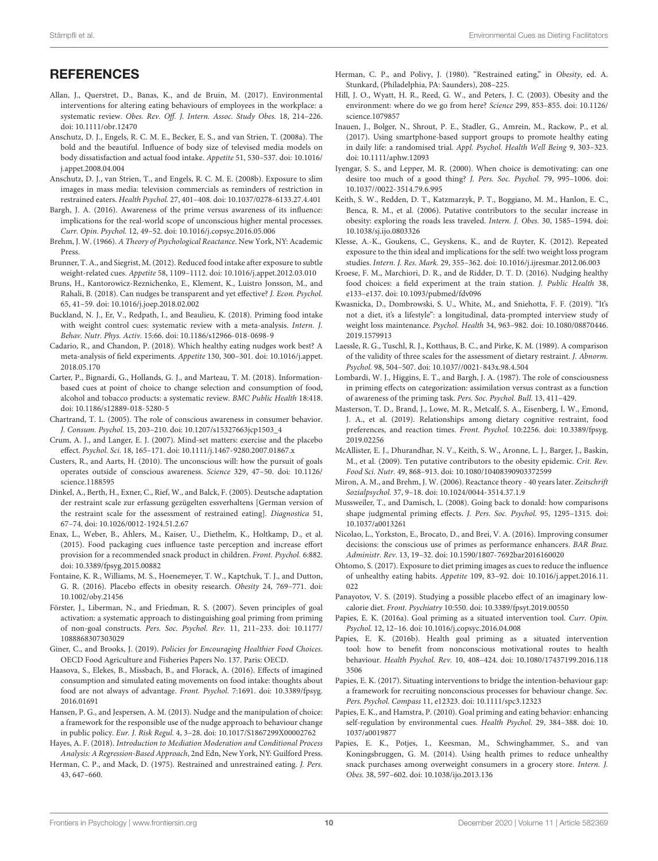### **REFERENCES**

- Allan, J., Querstret, D., Banas, K., and de Bruin, M. (2017). Environmental interventions for altering eating behaviours of employees in the workplace: a systematic review. Obes. Rev. Off. J. Intern. Assoc. Study Obes. 18, 214–226. [doi: 10.1111/obr.12470](https://doi.org/10.1111/obr.12470)
- Anschutz, D. J., Engels, R. C. M. E., Becker, E. S., and van Strien, T. (2008a). The bold and the beautiful. Influence of body size of televised media models on body dissatisfaction and actual food intake. Appetite 51, 530–537. [doi: 10.1016/](https://doi.org/10.1016/j.appet.2008.04.004) [j.appet.2008.04.004](https://doi.org/10.1016/j.appet.2008.04.004)
- Anschutz, D. J., van Strien, T., and Engels, R. C. M. E. (2008b). Exposure to slim images in mass media: television commercials as reminders of restriction in restrained eaters. Health Psychol. 27, 401–408. [doi: 10.1037/0278-6133.27.4.401](https://doi.org/10.1037/0278-6133.27.4.401)
- Bargh, J. A. (2016). Awareness of the prime versus awareness of its influence: implications for the real-world scope of unconscious higher mental processes. Curr. Opin. Psychol. 12, 49–52. [doi: 10.1016/j.copsyc.2016.05.006](https://doi.org/10.1016/j.copsyc.2016.05.006)
- Brehm, J. W. (1966). A Theory of Psychological Reactance. New York, NY: Academic Press.
- Brunner, T. A., and Siegrist, M. (2012). Reduced food intake after exposure to subtle weight-related cues. Appetite 58, 1109–1112. [doi: 10.1016/j.appet.2012.03.010](https://doi.org/10.1016/j.appet.2012.03.010)
- Bruns, H., Kantorowicz-Reznichenko, E., Klement, K., Luistro Jonsson, M., and Rahali, B. (2018). Can nudges be transparent and yet effective? J. Econ. Psychol. 65, 41–59. [doi: 10.1016/j.joep.2018.02.002](https://doi.org/10.1016/j.joep.2018.02.002)
- Buckland, N. J., Er, V., Redpath, I., and Beaulieu, K. (2018). Priming food intake with weight control cues: systematic review with a meta-analysis. Intern. J. Behav. Nutr. Phys. Activ. 15:66. [doi: 10.1186/s12966-018-0698-9](https://doi.org/10.1186/s12966-018-0698-9)
- Cadario, R., and Chandon, P. (2018). Which healthy eating nudges work best? A meta-analysis of field experiments. Appetite 130, 300–301. [doi: 10.1016/j.appet.](https://doi.org/10.1016/j.appet.2018.05.170) [2018.05.170](https://doi.org/10.1016/j.appet.2018.05.170)
- Carter, P., Bignardi, G., Hollands, G. J., and Marteau, T. M. (2018). Informationbased cues at point of choice to change selection and consumption of food, alcohol and tobacco products: a systematic review. BMC Public Health 18:418. [doi: 10.1186/s12889-018-5280-5](https://doi.org/10.1186/s12889-018-5280-5)
- Chartrand, T. L. (2005). The role of conscious awareness in consumer behavior. J. Consum. Psychol. 15, 203–210. [doi: 10.1207/s15327663jcp1503\\_4](https://doi.org/10.1207/s15327663jcp1503_4)
- Crum, A. J., and Langer, E. J. (2007). Mind-set matters: exercise and the placebo effect. Psychol. Sci. 18, 165–171. [doi: 10.1111/j.1467-9280.2007.01867.x](https://doi.org/10.1111/j.1467-9280.2007.01867.x)
- Custers, R., and Aarts, H. (2010). The unconscious will: how the pursuit of goals operates outside of conscious awareness. Science 329, 47–50. [doi: 10.1126/](https://doi.org/10.1126/science.1188595) [science.1188595](https://doi.org/10.1126/science.1188595)
- Dinkel, A., Berth, H., Exner, C., Rief, W., and Balck, F. (2005). Deutsche adaptation der restraint scale zur erfassung gezügelten essverhaltens [German version of the restraint scale for the assessment of restrained eating]. Diagnostica 51, 67–74. [doi: 10.1026/0012-1924.51.2.67](https://doi.org/10.1026/0012-1924.51.2.67)
- Enax, L., Weber, B., Ahlers, M., Kaiser, U., Diethelm, K., Holtkamp, D., et al. (2015). Food packaging cues influence taste perception and increase effort provision for a recommended snack product in children. Front. Psychol. 6:882. [doi: 10.3389/fpsyg.2015.00882](https://doi.org/10.3389/fpsyg.2015.00882)
- Fontaine, K. R., Williams, M. S., Hoenemeyer, T. W., Kaptchuk, T. J., and Dutton, G. R. (2016). Placebo effects in obesity research. Obesity 24, 769–771. [doi:](https://doi.org/10.1002/oby.21456) [10.1002/oby.21456](https://doi.org/10.1002/oby.21456)
- Förster, J., Liberman, N., and Friedman, R. S. (2007). Seven principles of goal activation: a systematic approach to distinguishing goal priming from priming of non-goal constructs. Pers. Soc. Psychol. Rev. 11, 211–233. [doi: 10.1177/](https://doi.org/10.1177/1088868307303029) [1088868307303029](https://doi.org/10.1177/1088868307303029)
- Giner, C., and Brooks, J. (2019). Policies for Encouraging Healthier Food Choices. OECD Food Agriculture and Fisheries Papers No. 137. Paris: OECD.
- Haasova, S., Elekes, B., Missbach, B., and Florack, A. (2016). Effects of imagined consumption and simulated eating movements on food intake: thoughts about food are not always of advantage. Front. Psychol. 7:1691. [doi: 10.3389/fpsyg.](https://doi.org/10.3389/fpsyg.2016.01691) [2016.01691](https://doi.org/10.3389/fpsyg.2016.01691)
- Hansen, P. G., and Jespersen, A. M. (2013). Nudge and the manipulation of choice: a framework for the responsible use of the nudge approach to behaviour change in public policy. Eur. J. Risk Regul. 4, 3–28. [doi: 10.1017/S1867299X00002762](https://doi.org/10.1017/S1867299X00002762)
- Hayes, A. F. (2018). Introduction to Mediation Moderation and Conditional Process Analysis: A Regression-Based Approach, 2nd Edn, New York, NY: Guilford Press. Herman, C. P., and Mack, D. (1975). Restrained and unrestrained eating. J. Pers.
- 43, 647–660.
- Herman, C. P., and Polivy, J. (1980). "Restrained eating," in Obesity, ed. A. Stunkard, (Philadelphia, PA: Saunders), 208–225.
- Hill, J. O., Wyatt, H. R., Reed, G. W., and Peters, J. C. (2003). Obesity and the environment: where do we go from here? Science 299, 853–855. [doi: 10.1126/](https://doi.org/10.1126/science.1079857) [science.1079857](https://doi.org/10.1126/science.1079857)
- Inauen, J., Bolger, N., Shrout, P. E., Stadler, G., Amrein, M., Rackow, P., et al. (2017). Using smartphone-based support groups to promote healthy eating in daily life: a randomised trial. Appl. Psychol. Health Well Being 9, 303–323. [doi: 10.1111/aphw.12093](https://doi.org/10.1111/aphw.12093)
- Iyengar, S. S., and Lepper, M. R. (2000). When choice is demotivating: can one desire too much of a good thing? J. Pers. Soc. Psychol. 79, 995–1006. [doi:](https://doi.org/10.1037//0022-3514.79.6.995) [10.1037//0022-3514.79.6.995](https://doi.org/10.1037//0022-3514.79.6.995)
- Keith, S. W., Redden, D. T., Katzmarzyk, P. T., Boggiano, M. M., Hanlon, E. C., Benca, R. M., et al. (2006). Putative contributors to the secular increase in obesity: exploring the roads less traveled. Intern. J. Obes. 30, 1585–1594. [doi:](https://doi.org/10.1038/sj.ijo.0803326) [10.1038/sj.ijo.0803326](https://doi.org/10.1038/sj.ijo.0803326)
- Klesse, A.-K., Goukens, C., Geyskens, K., and de Ruyter, K. (2012). Repeated exposure to the thin ideal and implications for the self: two weight loss program studies. Intern. J. Res. Mark. 29, 355–362. [doi: 10.1016/j.ijresmar.2012.06.003](https://doi.org/10.1016/j.ijresmar.2012.06.003)
- Kroese, F. M., Marchiori, D. R., and de Ridder, D. T. D. (2016). Nudging healthy food choices: a field experiment at the train station. J. Public Health 38, e133–e137. [doi: 10.1093/pubmed/fdv096](https://doi.org/10.1093/pubmed/fdv096)
- Kwasnicka, D., Dombrowski, S. U., White, M., and Sniehotta, F. F. (2019). "It's not a diet, it's a lifestyle": a longitudinal, data-prompted interview study of weight loss maintenance. Psychol. Health 34, 963–982. [doi: 10.1080/08870446.](https://doi.org/10.1080/08870446.2019.1579913) [2019.1579913](https://doi.org/10.1080/08870446.2019.1579913)
- Laessle, R. G., Tuschl, R. J., Kotthaus, B. C., and Pirke, K. M. (1989). A comparison of the validity of three scales for the assessment of dietary restraint. J. Abnorm. Psychol. 98, 504–507. [doi: 10.1037//0021-843x.98.4.504](https://doi.org/10.1037//0021-843x.98.4.504)
- Lombardi, W. J., Higgins, E. T., and Bargh, J. A. (1987). The role of consciousness in priming effects on categorization: assimilation versus contrast as a function of awareness of the priming task. Pers. Soc. Psychol. Bull. 13, 411–429.
- Masterson, T. D., Brand, J., Lowe, M. R., Metcalf, S. A., Eisenberg, I. W., Emond, J. A., et al. (2019). Relationships among dietary cognitive restraint, food preferences, and reaction times. Front. Psychol. 10:2256. [doi: 10.3389/fpsyg.](https://doi.org/10.3389/fpsyg.2019.02256) [2019.02256](https://doi.org/10.3389/fpsyg.2019.02256)
- McAllister, E. J., Dhurandhar, N. V., Keith, S. W., Aronne, L. J., Barger, J., Baskin, M., et al. (2009). Ten putative contributors to the obesity epidemic. Crit. Rev. Food Sci. Nutr. 49, 868–913. [doi: 10.1080/10408390903372599](https://doi.org/10.1080/10408390903372599)
- Miron, A. M., and Brehm, J. W. (2006). Reactance theory 40 years later. Zeitschrift Sozialpsychol. 37, 9–18. [doi: 10.1024/0044-3514.37.1.9](https://doi.org/10.1024/0044-3514.37.1.9)
- Mussweiler, T., and Damisch, L. (2008). Going back to donald: how comparisons shape judgmental priming effects. J. Pers. Soc. Psychol. 95, 1295–1315. [doi:](https://doi.org/10.1037/a0013261) [10.1037/a0013261](https://doi.org/10.1037/a0013261)
- Nicolao, L., Yorkston, E., Brocato, D., and Brei, V. A. (2016). Improving consumer decisions: the conscious use of primes as performance enhancers. BAR Braz. Administr. Rev. 13, 19–32. [doi: 10.1590/1807-7692bar2016160020](https://doi.org/10.1590/1807-7692bar2016160020)
- Ohtomo, S. (2017). Exposure to diet priming images as cues to reduce the influence of unhealthy eating habits. Appetite 109, 83–92. [doi: 10.1016/j.appet.2016.11.](https://doi.org/10.1016/j.appet.2016.11.022) [022](https://doi.org/10.1016/j.appet.2016.11.022)
- Panayotov, V. S. (2019). Studying a possible placebo effect of an imaginary lowcalorie diet. Front. Psychiatry 10:550. [doi: 10.3389/fpsyt.2019.00550](https://doi.org/10.3389/fpsyt.2019.00550)
- Papies, E. K. (2016a). Goal priming as a situated intervention tool. Curr. Opin. Psychol. 12, 12–16. [doi: 10.1016/j.copsyc.2016.04.008](https://doi.org/10.1016/j.copsyc.2016.04.008)
- Papies, E. K. (2016b). Health goal priming as a situated intervention tool: how to benefit from nonconscious motivational routes to health behaviour. Health Psychol. Rev. 10, 408–424. [doi: 10.1080/17437199.2016.118](https://doi.org/10.1080/17437199.2016.1183506) [3506](https://doi.org/10.1080/17437199.2016.1183506)
- Papies, E. K. (2017). Situating interventions to bridge the intention-behaviour gap: a framework for recruiting nonconscious processes for behaviour change. Soc. Pers. Psychol. Compass 11, e12323. [doi: 10.1111/spc3.12323](https://doi.org/10.1111/spc3.12323)
- Papies, E. K., and Hamstra, P. (2010). Goal priming and eating behavior: enhancing self-regulation by environmental cues. Health Psychol. 29, 384–388. [doi: 10.](https://doi.org/10.1037/a0019877) [1037/a0019877](https://doi.org/10.1037/a0019877)
- Papies, E. K., Potjes, I., Keesman, M., Schwinghammer, S., and van Koningsbruggen, G. M. (2014). Using health primes to reduce unhealthy snack purchases among overweight consumers in a grocery store. Intern. J. Obes. 38, 597–602. [doi: 10.1038/ijo.2013.136](https://doi.org/10.1038/ijo.2013.136)